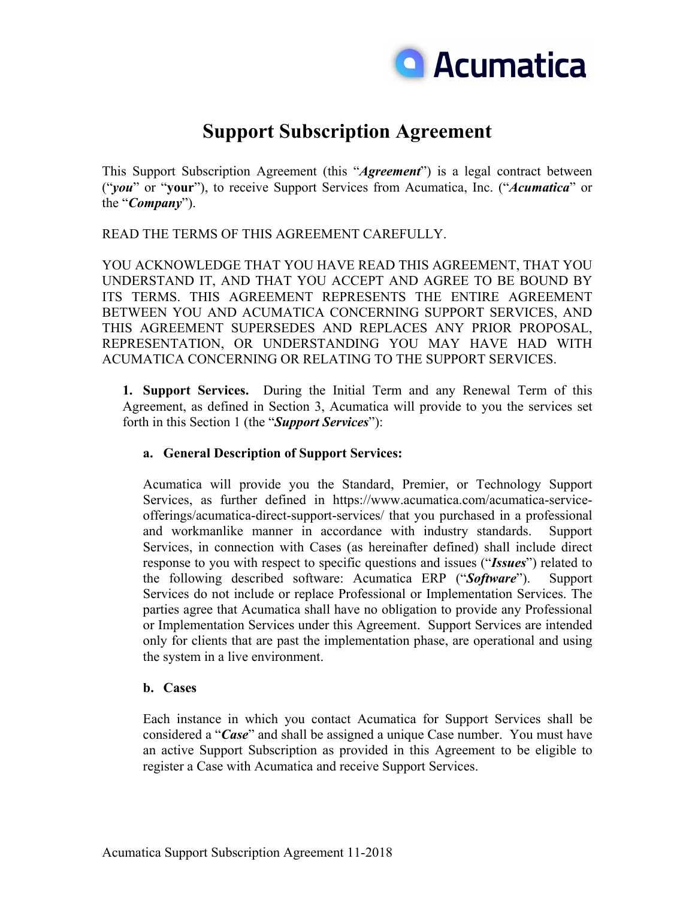

# **Support Subscription Agreement**

This Support Subscription Agreement (this "*Agreement*") is a legal contract between ("*you*" or "**your**"), to receive Support Services from Acumatica, Inc. ("*Acumatica*" or the "*Company*").

READ THE TERMS OF THIS AGREEMENT CAREFULLY.

YOU ACKNOWLEDGE THAT YOU HAVE READ THIS AGREEMENT, THAT YOU UNDERSTAND IT, AND THAT YOU ACCEPT AND AGREE TO BE BOUND BY ITS TERMS. THIS AGREEMENT REPRESENTS THE ENTIRE AGREEMENT BETWEEN YOU AND ACUMATICA CONCERNING SUPPORT SERVICES, AND THIS AGREEMENT SUPERSEDES AND REPLACES ANY PRIOR PROPOSAL, REPRESENTATION, OR UNDERSTANDING YOU MAY HAVE HAD WITH ACUMATICA CONCERNING OR RELATING TO THE SUPPORT SERVICES.

**1. Support Services.** During the Initial Term and any Renewal Term of this Agreement, as defined in Section 3, Acumatica will provide to you the services set forth in this Section 1 (the "*Support Services*"):

## **a. General Description of Support Services:**

Acumatica will provide you the Standard, Premier, or Technology Support Services, as further defined in https://www.acumatica.com/acumatica-serviceofferings/acumatica-direct-support-services/ that you purchased in a professional and workmanlike manner in accordance with industry standards. Support Services, in connection with Cases (as hereinafter defined) shall include direct response to you with respect to specific questions and issues ("*Issues*") related to the following described software: Acumatica ERP ("*Software*"). Support Services do not include or replace Professional or Implementation Services. The parties agree that Acumatica shall have no obligation to provide any Professional or Implementation Services under this Agreement. Support Services are intended only for clients that are past the implementation phase, are operational and using the system in a live environment.

#### **b. Cases**

Each instance in which you contact Acumatica for Support Services shall be considered a "*Case*" and shall be assigned a unique Case number. You must have an active Support Subscription as provided in this Agreement to be eligible to register a Case with Acumatica and receive Support Services.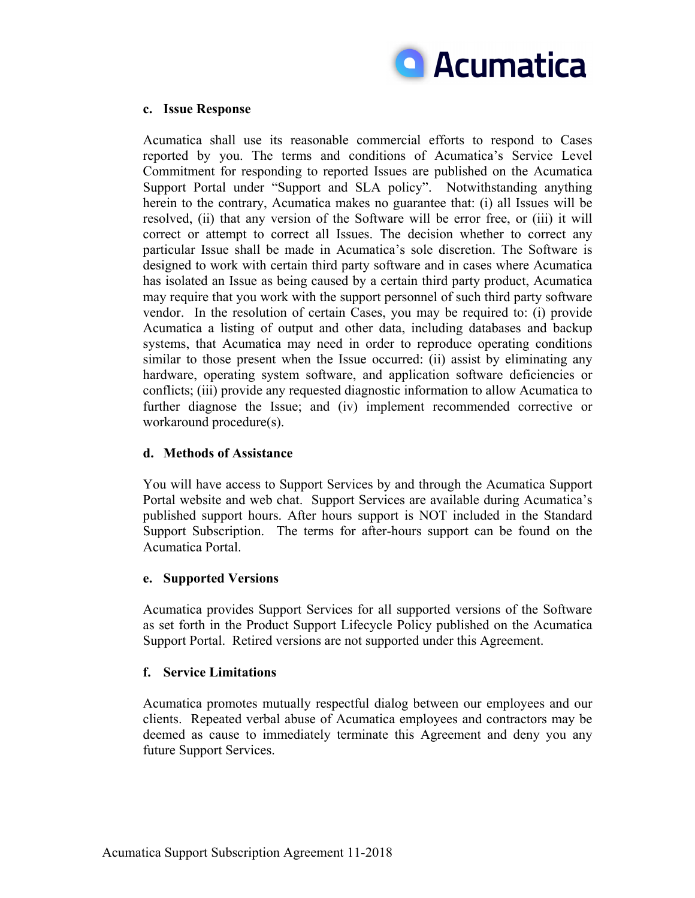

### **c. Issue Response**

Acumatica shall use its reasonable commercial efforts to respond to Cases reported by you. The terms and conditions of Acumatica's Service Level Commitment for responding to reported Issues are published on the Acumatica Support Portal under "Support and SLA policy". Notwithstanding anything herein to the contrary, Acumatica makes no guarantee that: (i) all Issues will be resolved, (ii) that any version of the Software will be error free, or (iii) it will correct or attempt to correct all Issues. The decision whether to correct any particular Issue shall be made in Acumatica's sole discretion. The Software is designed to work with certain third party software and in cases where Acumatica has isolated an Issue as being caused by a certain third party product, Acumatica may require that you work with the support personnel of such third party software vendor. In the resolution of certain Cases, you may be required to: (i) provide Acumatica a listing of output and other data, including databases and backup systems, that Acumatica may need in order to reproduce operating conditions similar to those present when the Issue occurred: (ii) assist by eliminating any hardware, operating system software, and application software deficiencies or conflicts; (iii) provide any requested diagnostic information to allow Acumatica to further diagnose the Issue; and (iv) implement recommended corrective or workaround procedure(s).

# **d. Methods of Assistance**

You will have access to Support Services by and through the Acumatica Support Portal website and web chat. Support Services are available during Acumatica's published support hours. After hours support is NOT included in the Standard Support Subscription. The terms for after-hours support can be found on the Acumatica Portal.

#### **e. Supported Versions**

Acumatica provides Support Services for all supported versions of the Software as set forth in the Product Support Lifecycle Policy published on the Acumatica Support Portal. Retired versions are not supported under this Agreement.

# **f. Service Limitations**

Acumatica promotes mutually respectful dialog between our employees and our clients. Repeated verbal abuse of Acumatica employees and contractors may be deemed as cause to immediately terminate this Agreement and deny you any future Support Services.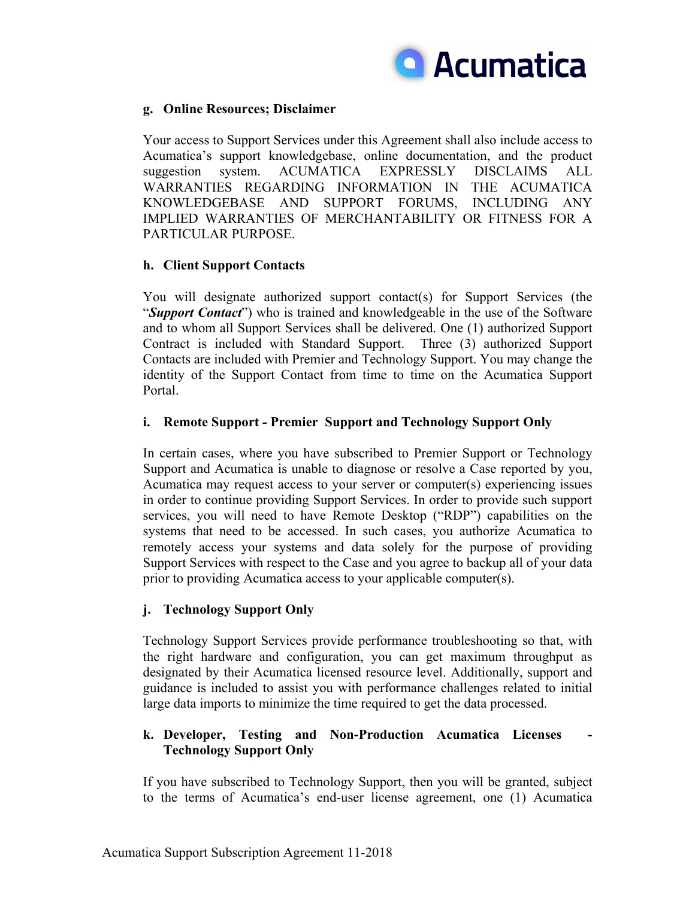

# **g. Online Resources; Disclaimer**

Your access to Support Services under this Agreement shall also include access to Acumatica's support knowledgebase, online documentation, and the product suggestion system. ACUMATICA EXPRESSLY DISCLAIMS ALL WARRANTIES REGARDING INFORMATION IN THE ACUMATICA KNOWLEDGEBASE AND SUPPORT FORUMS, INCLUDING ANY IMPLIED WARRANTIES OF MERCHANTABILITY OR FITNESS FOR A PARTICULAR PURPOSE.

# **h. Client Support Contacts**

You will designate authorized support contact(s) for Support Services (the "*Support Contact*") who is trained and knowledgeable in the use of the Software and to whom all Support Services shall be delivered. One (1) authorized Support Contract is included with Standard Support. Three (3) authorized Support Contacts are included with Premier and Technology Support. You may change the identity of the Support Contact from time to time on the Acumatica Support Portal.

## **i. Remote Support - Premier Support and Technology Support Only**

In certain cases, where you have subscribed to Premier Support or Technology Support and Acumatica is unable to diagnose or resolve a Case reported by you, Acumatica may request access to your server or computer(s) experiencing issues in order to continue providing Support Services. In order to provide such support services, you will need to have Remote Desktop ("RDP") capabilities on the systems that need to be accessed. In such cases, you authorize Acumatica to remotely access your systems and data solely for the purpose of providing Support Services with respect to the Case and you agree to backup all of your data prior to providing Acumatica access to your applicable computer(s).

# **j. Technology Support Only**

Technology Support Services provide performance troubleshooting so that, with the right hardware and configuration, you can get maximum throughput as designated by their Acumatica licensed resource level. Additionally, support and guidance is included to assist you with performance challenges related to initial large data imports to minimize the time required to get the data processed.

# **k. Developer, Testing and Non-Production Acumatica Licenses Technology Support Only**

If you have subscribed to Technology Support, then you will be granted, subject to the terms of Acumatica's end-user license agreement, one (1) Acumatica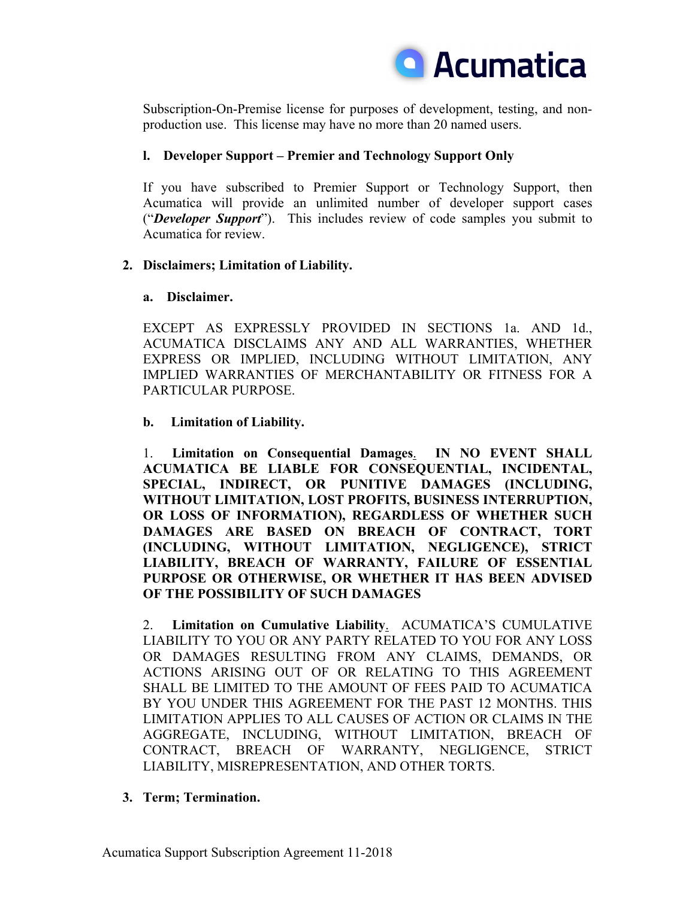

Subscription-On-Premise license for purposes of development, testing, and nonproduction use. This license may have no more than 20 named users.

# **l. Developer Support – Premier and Technology Support Only**

If you have subscribed to Premier Support or Technology Support, then Acumatica will provide an unlimited number of developer support cases ("*Developer Support*"). This includes review of code samples you submit to Acumatica for review.

# **2. Disclaimers; Limitation of Liability.**

# **a. Disclaimer.**

EXCEPT AS EXPRESSLY PROVIDED IN SECTIONS 1a. AND 1d., ACUMATICA DISCLAIMS ANY AND ALL WARRANTIES, WHETHER EXPRESS OR IMPLIED, INCLUDING WITHOUT LIMITATION, ANY IMPLIED WARRANTIES OF MERCHANTABILITY OR FITNESS FOR A PARTICULAR PURPOSE.

# **b. Limitation of Liability.**

1. **Limitation on Consequential Damages**. **IN NO EVENT SHALL ACUMATICA BE LIABLE FOR CONSEQUENTIAL, INCIDENTAL, SPECIAL, INDIRECT, OR PUNITIVE DAMAGES (INCLUDING, WITHOUT LIMITATION, LOST PROFITS, BUSINESS INTERRUPTION, OR LOSS OF INFORMATION), REGARDLESS OF WHETHER SUCH DAMAGES ARE BASED ON BREACH OF CONTRACT, TORT (INCLUDING, WITHOUT LIMITATION, NEGLIGENCE), STRICT LIABILITY, BREACH OF WARRANTY, FAILURE OF ESSENTIAL PURPOSE OR OTHERWISE, OR WHETHER IT HAS BEEN ADVISED OF THE POSSIBILITY OF SUCH DAMAGES**

2. **Limitation on Cumulative Liability**. ACUMATICA'S CUMULATIVE LIABILITY TO YOU OR ANY PARTY RELATED TO YOU FOR ANY LOSS OR DAMAGES RESULTING FROM ANY CLAIMS, DEMANDS, OR ACTIONS ARISING OUT OF OR RELATING TO THIS AGREEMENT SHALL BE LIMITED TO THE AMOUNT OF FEES PAID TO ACUMATICA BY YOU UNDER THIS AGREEMENT FOR THE PAST 12 MONTHS. THIS LIMITATION APPLIES TO ALL CAUSES OF ACTION OR CLAIMS IN THE AGGREGATE, INCLUDING, WITHOUT LIMITATION, BREACH OF CONTRACT, BREACH OF WARRANTY, NEGLIGENCE, STRICT LIABILITY, MISREPRESENTATION, AND OTHER TORTS.

# **3. Term; Termination.**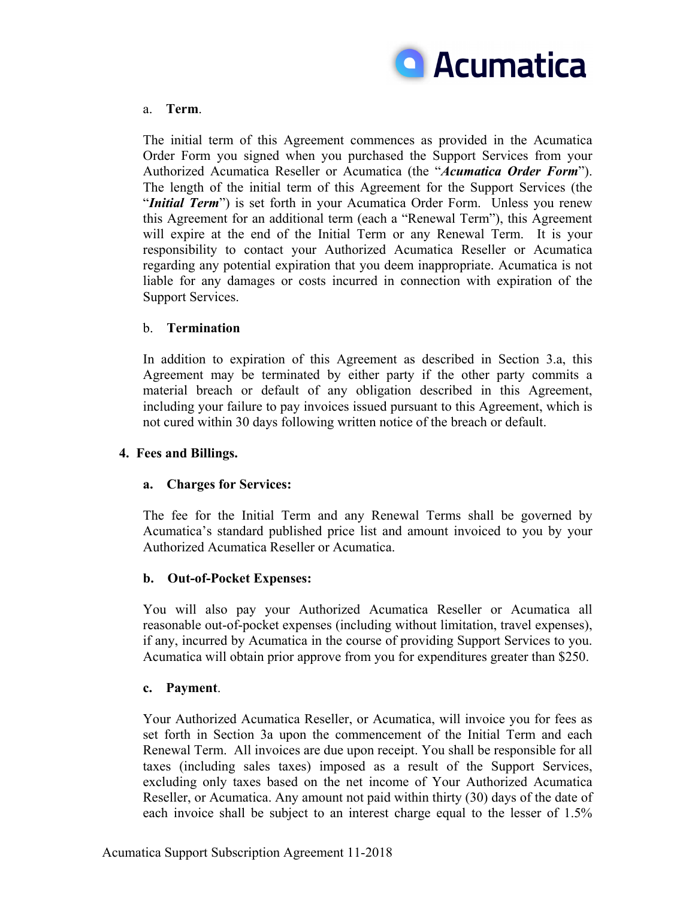

## a. **Term**.

The initial term of this Agreement commences as provided in the Acumatica Order Form you signed when you purchased the Support Services from your Authorized Acumatica Reseller or Acumatica (the "*Acumatica Order Form*"). The length of the initial term of this Agreement for the Support Services (the "*Initial Term*") is set forth in your Acumatica Order Form. Unless you renew this Agreement for an additional term (each a "Renewal Term"), this Agreement will expire at the end of the Initial Term or any Renewal Term. It is your responsibility to contact your Authorized Acumatica Reseller or Acumatica regarding any potential expiration that you deem inappropriate. Acumatica is not liable for any damages or costs incurred in connection with expiration of the Support Services.

## b. **Termination**

In addition to expiration of this Agreement as described in Section 3.a, this Agreement may be terminated by either party if the other party commits a material breach or default of any obligation described in this Agreement, including your failure to pay invoices issued pursuant to this Agreement, which is not cured within 30 days following written notice of the breach or default.

### **4. Fees and Billings.**

# **a. Charges for Services:**

The fee for the Initial Term and any Renewal Terms shall be governed by Acumatica's standard published price list and amount invoiced to you by your Authorized Acumatica Reseller or Acumatica.

# **b. Out-of-Pocket Expenses:**

You will also pay your Authorized Acumatica Reseller or Acumatica all reasonable out-of-pocket expenses (including without limitation, travel expenses), if any, incurred by Acumatica in the course of providing Support Services to you. Acumatica will obtain prior approve from you for expenditures greater than \$250.

#### **c. Payment**.

Your Authorized Acumatica Reseller, or Acumatica, will invoice you for fees as set forth in Section 3a upon the commencement of the Initial Term and each Renewal Term. All invoices are due upon receipt. You shall be responsible for all taxes (including sales taxes) imposed as a result of the Support Services, excluding only taxes based on the net income of Your Authorized Acumatica Reseller, or Acumatica. Any amount not paid within thirty (30) days of the date of each invoice shall be subject to an interest charge equal to the lesser of 1.5%